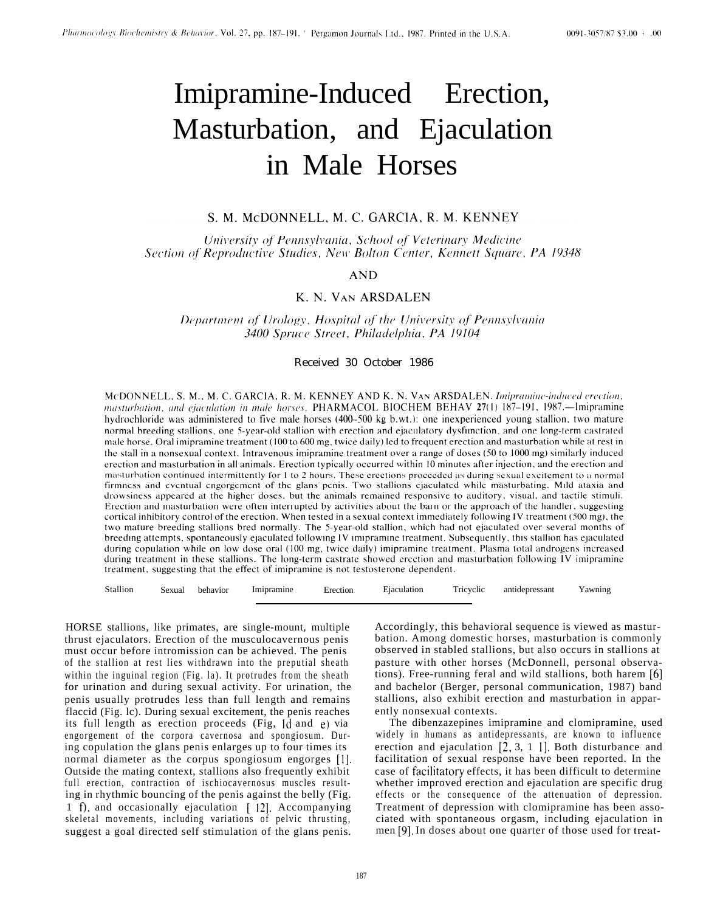# Imipramine-Induced Erection, Masturbation, and Ejaculation in Male Horses

# S. M. MCDONNELL, M. C. GARCIA, R. M. KENNEY

University of Pennsylvania, School of Veterinary Medicine Section of Reproductive Studies, New Bolton Center, Kennett Square, PA 19348

# $AND$

## K. N. VAN ARSDALEN

Department of Urology, Hospital of the University of Pennsylvania 3400 Spruce Street, Philadelphia, PA 19104

## Received 30 October 1986

McDONNELL, S. M., M. C. GARCIA, R. M. KENNEY AND K. N. VAN ARSDALEN. Imipramine-induced erection, masturbation, and ejaculation in male horses. PHARMACOL BIOCHEM BEHAV 27(1) 187-191, 1987.—Imipramine hydrochloride was administered to five male horses (400–500 kg b.wt.): one inexperienced young stallion, two mature normal breeding stallions, one 5-year-old stallion with erection and ejaculatory dysfunction, and one long-term castrated male horse. Oral imipramine treatment (100 to 600 mg, twice daily) led to frequent erection and masturbation while at rest in the stall in a nonsexual context. Intravenous imipramine treatment over a range of doses (50 to 1000 mg) similarly induced erection and masturbation in all animals. Erection typically occurred within 10 minutes after injection, and the erection and masturbation continued intermittently for 1 to 2 hours. These erections proceeded as during sexual excitement to a normal firmness and eventual engorgement of the glans penis. Two stallions ejaculated while masturbating. Mild ataxia and drowsiness appeared at the higher doses, but the animals remained responsive to auditory, visual, and tactile stimuli. Erection and masturbation were often interrupted by activities about the barn or the approach of the handler, suggesting cortical inhibitory control of the erection. When tested in a sexual context immediately following IV treatment (500 mg), the two mature breeding stallions bred normally. The 5-year-old stallion, which had not ejaculated over several months of breeding attempts, spontaneously ejaculated following IV imipramine treatment. Subsequently, this stallion has ejaculated during copulation while on low dose oral (100 mg, twice daily) imipramine treatment. Plasma total androgens increased during treatment in these stallions. The long-term castrate showed erection and masturbation following IV imipramine treatment, suggesting that the effect of imipramine is not testosterone dependent.

|  |  |  |  |  |  |  | Stallion Sexual behavior Imipramine Erection Ejaculation Tricyclic antidepressant Yawning |  |
|--|--|--|--|--|--|--|-------------------------------------------------------------------------------------------|--|
|--|--|--|--|--|--|--|-------------------------------------------------------------------------------------------|--|

HORSE stallions, like primates, are single-mount, multiple thrust ejaculators. Erection of the musculocavernous penis must occur before intromission can be achieved. The penis of the stallion at rest lies withdrawn into the preputial sheath within the inguinal region (Fig. la). It protrudes from the sheath for urination and during sexual activity. For urination, the penis usually protrudes less than full length and remains flaccid (Fig. lc). During sexual excitement, the penis reaches its full length as erection proceeds (Fig,  $|\hat{d}|$  and e) via engorgement of the corpora cavernosa and spongiosum. During copulation the glans penis enlarges up to four times its normal diameter as the corpus spongiosum engorges [I]. Outside the mating context, stallions also frequently exhibit full erection, contraction of ischiocavernosus muscles resulting in rhythmic bouncing of the penis against the belly (Fig. 1 f), and occasionally ejaculation [ 121. Accompanying skeletal movements, including variations of pelvic thrusting, suggest a goal directed self stimulation of the glans penis. Accordingly, this behavioral sequence is viewed as masturbation. Among domestic horses, masturbation is commonly observed in stabled stallions, but also occurs in stallions at pasture with other horses (McDonnell, personal observations). Free-running feral and wild stallions, both harem [6] and bachelor (Berger, personal communication, 1987) band stallions, also exhibit erection and masturbation in apparently nonsexual contexts.

The dibenzazepines imipramine and clomipramine, used widely in humans as antidepressants, are known to influence erection and ejaculation 12, 3, 1 I]. Both disturbance and facilitation of sexual response have been reported. In the case of facilitatory effects, it has been difficult to determine whether improved erection and ejaculation are specific drug effects or the consequence of the attenuation of depression. Treatment of depression with clomipramine has been associated with spontaneous orgasm, including ejaculation in men [9]. In doses about one quarter of those used for treat-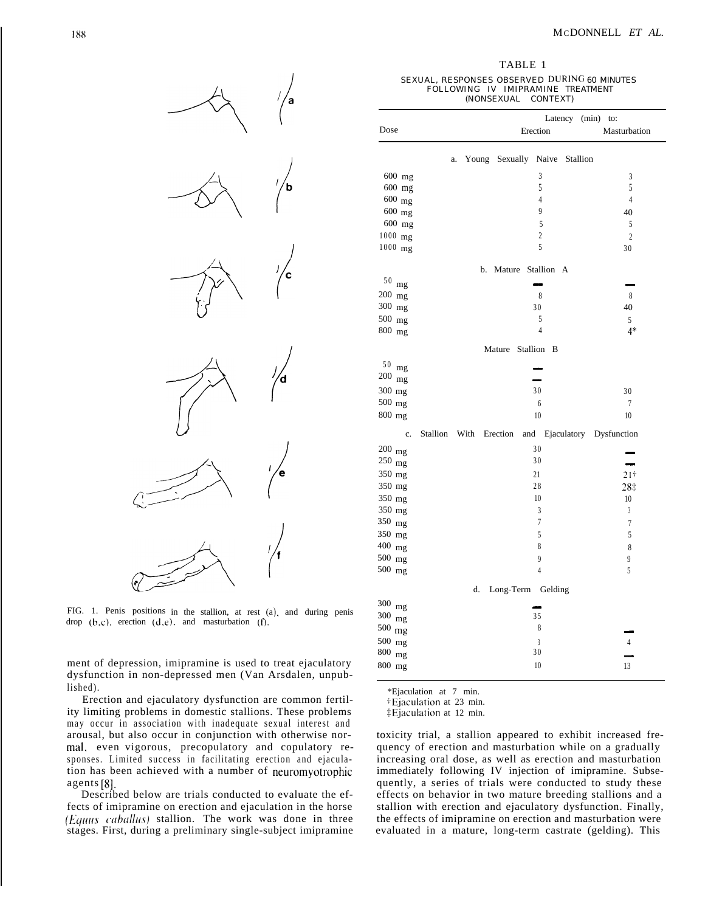

FIG. 1. Penis positions in the stallion, at rest (a), and during penis drop  $(b, c)$ , erection  $(d, e)$ , and masturbation  $(f)$ .

ment of depression, imipramine is used to treat ejaculatory dysfunction in non-depressed men (Van Arsdalen, unpublished).

Erection and ejaculatory dysfunction are common fertility limiting problems in domestic stallions. These problems may occur in association with inadequate sexual interest and arousal, but also occur in conjunction with otherwise normal, even vigorous, precopulatory and copulatory responses. Limited success in facilitating erection and ejaculation has been achieved with a number of neuromyotrophic agents [8].

Described below are trials conducted to evaluate the effects of imipramine on erection and ejaculation in the horse  $(Equus$  caballus) stallion. The work was done in three stages. First, during a preliminary single-subject imipramine

| TADLE I                                      |  |  |  |  |  |  |  |
|----------------------------------------------|--|--|--|--|--|--|--|
| SEXUAL, RESPONSES OBSERVED DURING 60 MINUTES |  |  |  |  |  |  |  |
| FOLLOWING IV IMIPRAMINE TREATMENT            |  |  |  |  |  |  |  |
| (NONSEXUAL CONTEXT)                          |  |  |  |  |  |  |  |

TABLE 1

|                      | Latency<br>(min)<br>to:                                        |                |  |  |  |  |  |  |  |  |
|----------------------|----------------------------------------------------------------|----------------|--|--|--|--|--|--|--|--|
| Dose                 | Erection                                                       | Masturbation   |  |  |  |  |  |  |  |  |
|                      | Sexually Naive<br>Stallion<br>Young<br>a.                      |                |  |  |  |  |  |  |  |  |
| 600 mg               | 3                                                              | 3              |  |  |  |  |  |  |  |  |
| 600 mg               | 5                                                              | 5              |  |  |  |  |  |  |  |  |
| 600 mg               | $\overline{4}$                                                 | $\overline{4}$ |  |  |  |  |  |  |  |  |
| 600 mg               | 9                                                              | 40             |  |  |  |  |  |  |  |  |
| 600 mg               | 5                                                              | 5              |  |  |  |  |  |  |  |  |
| 1000 mg              | $\overline{c}$                                                 | $\overline{c}$ |  |  |  |  |  |  |  |  |
| 1000 mg              | 5                                                              | 30             |  |  |  |  |  |  |  |  |
|                      | b. Mature Stallion A                                           |                |  |  |  |  |  |  |  |  |
| $50$ mg              |                                                                |                |  |  |  |  |  |  |  |  |
| 200 mg               | 8                                                              | 8              |  |  |  |  |  |  |  |  |
| 300 mg               | 30                                                             | 40             |  |  |  |  |  |  |  |  |
| 500 mg               | 5                                                              | 5              |  |  |  |  |  |  |  |  |
| 800 mg               | $\overline{4}$                                                 | $4*$           |  |  |  |  |  |  |  |  |
| Mature Stallion<br>B |                                                                |                |  |  |  |  |  |  |  |  |
| $50$ mg              |                                                                |                |  |  |  |  |  |  |  |  |
| $200$ mg             |                                                                |                |  |  |  |  |  |  |  |  |
| 300 mg               | 30                                                             | 30             |  |  |  |  |  |  |  |  |
| 500 mg               | 6                                                              | 7              |  |  |  |  |  |  |  |  |
| 800 mg               | 10                                                             | 10             |  |  |  |  |  |  |  |  |
| c.                   | Stallion<br>With<br>Erection<br>and<br>Ejaculatory Dysfunction |                |  |  |  |  |  |  |  |  |
| $200$ mg             | 30                                                             |                |  |  |  |  |  |  |  |  |
| $250$ mg             | 30                                                             |                |  |  |  |  |  |  |  |  |
| 350 mg               | 21                                                             | $21+$          |  |  |  |  |  |  |  |  |
| 350 mg               | 28                                                             | 28‡            |  |  |  |  |  |  |  |  |
| 350 mg               | 10                                                             | 10             |  |  |  |  |  |  |  |  |
| 350 mg               | 3                                                              | 3              |  |  |  |  |  |  |  |  |
| 350 mg               | $\overline{7}$                                                 | $\overline{7}$ |  |  |  |  |  |  |  |  |
| 350 mg               | 5                                                              | 5              |  |  |  |  |  |  |  |  |
| 400 mg               | 8                                                              | 8              |  |  |  |  |  |  |  |  |
| 500 mg               | 9                                                              | 9              |  |  |  |  |  |  |  |  |
| 500 mg               | $\overline{4}$                                                 | 5              |  |  |  |  |  |  |  |  |
|                      | d.<br>Long-Term Gelding                                        |                |  |  |  |  |  |  |  |  |
| $300$ mg             |                                                                |                |  |  |  |  |  |  |  |  |
| $300$ mg             | 35<br>8                                                        |                |  |  |  |  |  |  |  |  |
| 500 mg               |                                                                |                |  |  |  |  |  |  |  |  |
| 500 mg               | 3                                                              | $\overline{4}$ |  |  |  |  |  |  |  |  |
| 800 mg               | 30                                                             |                |  |  |  |  |  |  |  |  |
| 800 mg               | 10                                                             | 13             |  |  |  |  |  |  |  |  |

\*Ejaculation at 7 min.

+Ejaculation at 23 min.

\$Ejaculation at 12 min.

toxicity trial, a stallion appeared to exhibit increased frequency of erection and masturbation while on a gradually increasing oral dose, as well as erection and masturbation immediately following IV injection of imipramine. Subsequently, a series of trials were conducted to study these effects on behavior in two mature breeding stallions and a stallion with erection and ejaculatory dysfunction. Finally, the effects of imipramine on erection and masturbation were evaluated in a mature, long-term castrate (gelding). This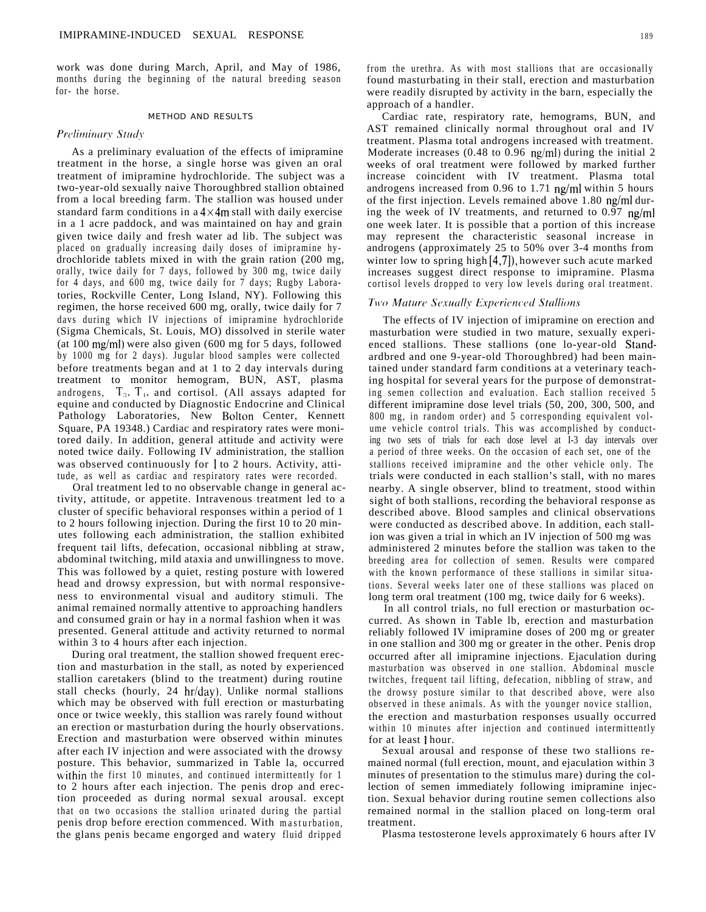work was done during March, April, and May of 1986, months during the beginning of the natural breeding season for- the horse.

#### METHOD AND RESULTS

#### Preliminary Study

As a preliminary evaluation of the effects of imipramine treatment in the horse, a single horse was given an oral treatment of imipramine hydrochloride. The subject was a two-year-old sexually naive Thoroughbred stallion obtained from a local breeding farm. The stallion was housed under standard farm conditions in a  $4 \times 4m$  stall with daily exercise in a 1 acre paddock, and was maintained on hay and grain given twice daily and fresh water ad lib. The subject was placed on gradually increasing daily doses of imipramine hydrochloride tablets mixed in with the grain ration (200 mg, orally, twice daily for 7 days, followed by 300 mg, twice daily for 4 days, and 600 mg, twice daily for 7 days; Rugby Laboratories, Rockville Center, Long Island, NY). Following this regimen, the horse received 600 mg, orally, twice daily for 7 davs during which IV injections of imipramine hydrochloride (Sigma Chemicals, St. Louis, MO) dissolved in sterile water (at 100 mg/ml) were also given (600 mg for 5 days, followed by 1000 mg for 2 days). Jugular blood samples were collected before treatments began and at 1 to 2 day intervals during treatment to monitor hemogram, BUN, AST, plasma androgens,  $T_3$ ,  $T_4$ , and cortisol. (All assays adapted for equine and conducted by Diagnostic Endocrine and Clinical Pathology Laboratories, New Bolton Center, Kennett Square, PA 19348.) Cardiac and respiratory rates were monitored daily. In addition, general attitude and activity were noted twice daily. Following IV administration, the stallion was observed continuously for 1 to 2 hours. Activity, attitude, as well as cardiac and respiratory rates were recorded.

Oral treatment led to no observable change in general activity, attitude, or appetite. Intravenous treatment led to a cluster of specific behavioral responses within a period of 1 to 2 hours following injection. During the first 10 to 20 minutes following each administration, the stallion exhibited frequent tail lifts, defecation, occasional nibbling at straw, abdominal twitching, mild ataxia and unwillingness to move. This was followed by a quiet, resting posture with lowered head and drowsy expression, but with normal responsiveness to environmental visual and auditory stimuli. The animal remained normally attentive to approaching handlers and consumed grain or hay in a normal fashion when it was presented. General attitude and activity returned to normal within 3 to 4 hours after each injection.

During oral treatment, the stallion showed frequent erection and masturbation in the stall, as noted by experienced stallion caretakers (blind to the treatment) during routine stall checks (hourly, 24 hr/day). Unlike normal stallions which may be observed with full erection or masturbating once or twice weekly, this stallion was rarely found without an erection or masturbation during the hourly observations. Erection and masturbation were observed within minutes after each IV injection and were associated with the drowsy posture. This behavior, summarized in Table la, occurred within the first 10 minutes, and continued intermittently for 1 to 2 hours after each injection. The penis drop and erection proceeded as during normal sexual arousal. except that on two occasions the stallion urinated during the partial penis drop before erection commenced. With masturbation, the glans penis became engorged and watery fluid dripped

from the urethra. As with most stallions that are occasionally found masturbating in their stall, erection and masturbation were readily disrupted by activity in the barn, especially the approach of a handler.

Cardiac rate, respiratory rate, hemograms, BUN, and AST remained clinically normal throughout oral and IV treatment. Plasma total androgens increased with treatment. Moderate increases (0.48 to 0.96 ng/ml) during the initial 2 weeks of oral treatment were followed by marked further increase coincident with IV treatment. Plasma total androgens increased from  $0.96$  to  $1.71$  ng/ml within 5 hours of the first injection. Levels remained above  $1.80$  ng/ml during the week of IV treatments, and returned to  $0.97$  ng/ml one week later. It is possible that a portion of this increase may represent the characteristic seasonal increase in androgens (approximately 25 to 50% over 3-4 months from winter low to spring high [4,7]), however such acute marked increases suggest direct response to imipramine. Plasma cortisol levels dropped to very low levels during oral treatment.

#### Two Mature Sexually Experienced Stallions

The effects of IV injection of imipramine on erection and masturbation were studied in two mature, sexually experienced stallions. These stallions (one lo-year-old Standardbred and one 9-year-old Thoroughbred) had been maintained under standard farm conditions at a veterinary teaching hospital for several years for the purpose of demonstrating semen collection and evaluation. Each stallion received 5 different imipramine dose level trials (50, 200, 300, 500, and 800 mg, in random order) and 5 corresponding equivalent volume vehicle control trials. This was accomplished by conducting two sets of trials for each dose level at I-3 day intervals over a period of three weeks. On the occasion of each set, one of the stallions received imipramine and the other vehicle only. The trials were conducted in each stallion's stall, with no mares nearby. A single observer, blind to treatment, stood within sight of both stallions, recording the behavioral response as described above. Blood samples and clinical observations were conducted as described above. In addition, each stallion was given a trial in which an IV injection of 500 mg was administered 2 minutes before the stallion was taken to the breeding area for collection of semen. Results were compared with the known performance of these stallions in similar situations. Several weeks later one of these stallions was placed on long term oral treatment (100 mg, twice daily for 6 weeks).

In all control trials, no full erection or masturbation occurred. As shown in Table lb, erection and masturbation reliably followed IV imipramine doses of 200 mg or greater in one stallion and 300 mg or greater in the other. Penis drop occurred after all imipramine injections. Ejaculation during masturbation was observed in one stallion. Abdominal muscle twitches, frequent tail lifting, defecation, nibbling of straw, and the drowsy posture similar to that described above, were also observed in these animals. As with the younger novice stallion, the erection and masturbation responses usually occurred within 10 minutes after injection and continued intermittently for at least 1 hour.

Sexual arousal and response of these two stallions remained normal (full erection, mount, and ejaculation within 3 minutes of presentation to the stimulus mare) during the collection of semen immediately following imipramine injection. Sexual behavior during routine semen collections also remained normal in the stallion placed on long-term oral treatment.

Plasma testosterone levels approximately 6 hours after IV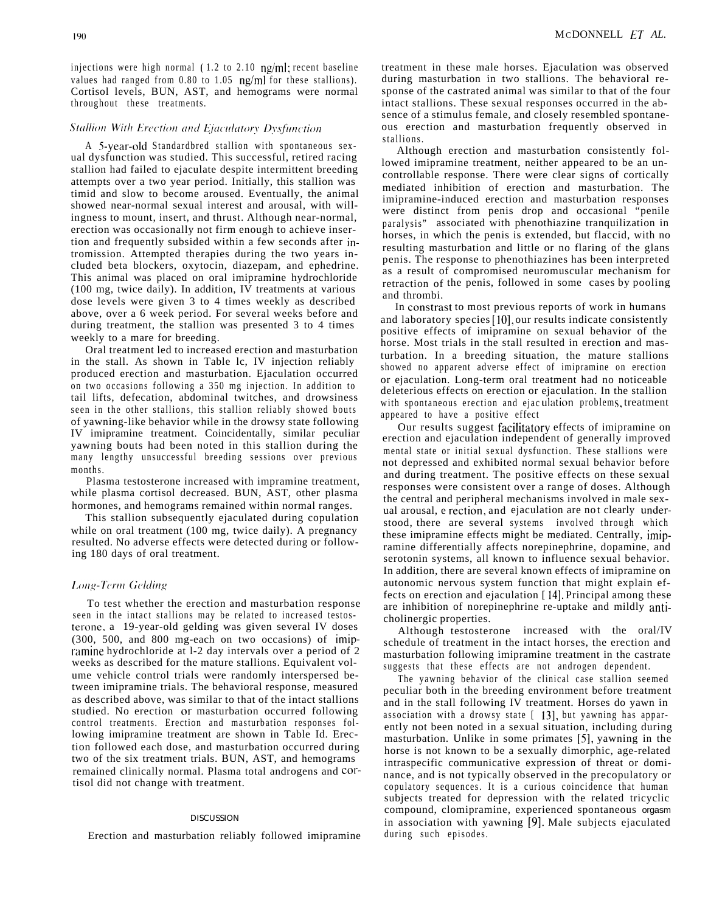injections were high normal  $(1.2 \text{ to } 2.10 \text{ ng/ml})$ ; recent baseline values had ranged from  $0.80$  to  $1.05$  ng/ml for these stallions). Cortisol levels, BUN, AST, and hemograms were normal throughout these treatments.

#### **Stallion With Erection and Ejaculatory Dysfunction**

A 5-year-old Standardbred stallion with spontaneous sexual dysfunction was studied. This successful, retired racing stallion had failed to ejaculate despite intermittent breeding attempts over a two year period. Initially, this stallion was timid and slow to become aroused. Eventually, the animal showed near-normal sexual interest and arousal, with willingness to mount, insert, and thrust. Although near-normal, erection was occasionally not firm enough to achieve insertion and frequently subsided within a few seconds after intromission. Attempted therapies during the two years included beta blockers, oxytocin, diazepam, and ephedrine. This animal was placed on oral imipramine hydrochloride (100 mg, twice daily). In addition, IV treatments at various dose levels were given 3 to 4 times weekly as described above, over a 6 week period. For several weeks before and during treatment, the stallion was presented 3 to 4 times weekly to a mare for breeding.

Oral treatment led to increased erection and masturbation in the stall. As shown in Table lc, IV injection reliably produced erection and masturbation. Ejaculation occurred on two occasions following a 350 mg injection. In addition to tail lifts, defecation, abdominal twitches, and drowsiness seen in the other stallions, this stallion reliably showed bouts of yawning-like behavior while in the drowsy state following IV imipramine treatment. Coincidentally, similar peculiar yawning bouts had been noted in this stallion during the many lengthy unsuccessful breeding sessions over previous months.

Plasma testosterone increased with impramine treatment, while plasma cortisol decreased. BUN, AST, other plasma hormones, and hemograms remained within normal ranges.

This stallion subsequently ejaculated during copulation while on oral treatment (100 mg, twice daily). A pregnancy resulted. No adverse effects were detected during or following 180 days of oral treatment.

## Long-Term Gelding

To test whether the erection and masturbation response seen in the intact stallions may be related to increased testosterone, a 19-year-old gelding was given several IV doses (300, 500, and 800 mg-each on two occasions) of imipramine hydrochloride at 1-2 day intervals over a period of 2 weeks as described for the mature stallions. Equivalent volume vehicle control trials were randomly interspersed between imipramine trials. The behavioral response, measured as described above, was similar to that of the intact stallions studied. No erection **or** masturbation occurred following control treatments. Erection and masturbation responses following imipramine treatment are shown in Table Id. Erection followed each dose, and masturbation occurred during two of the six treatment trials. BUN, AST, and hemograms remained clinically normal. Plasma total androgens and cortisol did not change with treatment.

### **DISCUSSION**

Erection and masturbation reliably followed imipramine

treatment in these male horses. Ejaculation was observed during masturbation in two stallions. The behavioral response of the castrated animal was similar to that of the four intact stallions. These sexual responses occurred in the absence of a stimulus female, and closely resembled spontaneous erection and masturbation frequently observed in stallions.

Although erection and masturbation consistently followed imipramine treatment, neither appeared to be an uncontrollable response. There were clear signs of cortically mediated inhibition of erection and masturbation. The imipramine-induced erection and masturbation responses were distinct from penis drop and occasional "penile paralysis" associated with phenothiazine tranquilization in horses, in which the penis is extended, but flaccid, with no resulting masturbation and little or no flaring of the glans penis. The response to phenothiazines has been interpreted as a result of compromised neuromuscular mechanism for retraction of the penis, followed in some cases by pooling and thrombi.

In constrast to most previous reports of work in humans and laboratory species  $[10]$ , our results indicate consistently positive effects of imipramine on sexual behavior of the horse. Most trials in the stall resulted in erection and masturbation. In a breeding situation, the mature stallions showed no apparent adverse effect of imipramine on erection or ejaculation. Long-term oral treatment had no noticeable deleterious effects on erection or ejaculation. In the stallion with spontaneous erection and ejac ulation problems, treatment appeared to have a positive effect

Our results suggest facilitatory effects of imipramine on erection and ejaculation independent of generally improved mental state or initial sexual dysfunction. These stallions were not depressed and exhibited normal sexual behavior before and during treatment. The positive effects on these sexual responses were consistent over a range of doses. Although the central and peripheral mechanisms involved in male sexual arousal, e rection, and ejaculation are not clearly understood, there are several systems involved through which these imipramine effects might be mediated. Centrally, imipramine differentially affects norepinephrine, dopamine, and serotonin systems, all known to influence sexual behavior. In addition, there are several known effects of imipramine on autonomic nervous system function that might explain effects on erection and ejaculation [ 141. Principal among these are inhibition of norepinephrine re-uptake and mildly anticholinergic properties.

Although testosterone increased with the oral/IV schedule of treatment in the intact horses, the erection and masturbation following imipramine treatment in the castrate suggests that these effects are not androgen dependent.

The yawning behavior of the clinical case stallion seemed peculiar both in the breeding environment before treatment and in the stall following IV treatment. Horses do yawn in association with a drowsy state [ 13], but yawning has apparently not been noted in a sexual situation, including during masturbation. Unlike in some primates [5], yawning in the horse is not known to be a sexually dimorphic, age-related intraspecific communicative expression of threat or dominance, and is not typically observed in the precopulatory or copulatory sequences. It is a curious coincidence that human subjects treated for depression with the related tricyclic compound, clomipramine, experienced spontaneous orgasm in association with yawning [9]. Male subjects ejaculated during such episodes.